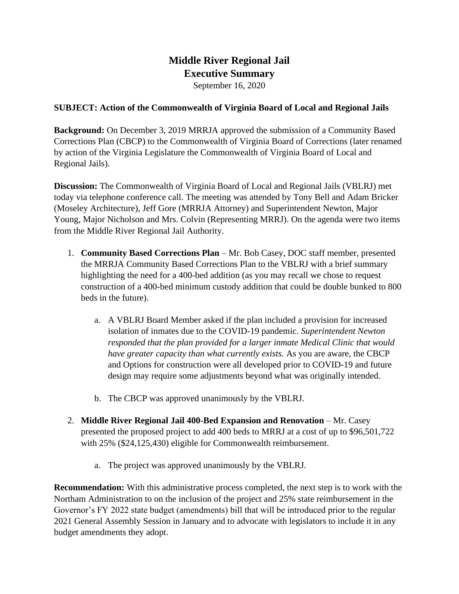## **Middle River Regional Jail Executive Summary**

September 16, 2020

## **SUBJECT: Action of the Commonwealth of Virginia Board of Local and Regional Jails**

**Background:** On December 3, 2019 MRRJA approved the submission of a Community Based Corrections Plan (CBCP) to the Commonwealth of Virginia Board of Corrections (later renamed by action of the Virginia Legislature the Commonwealth of Virginia Board of Local and Regional Jails).

**Discussion:** The Commonwealth of Virginia Board of Local and Regional Jails (VBLRJ) met today via telephone conference call. The meeting was attended by Tony Bell and Adam Bricker (Moseley Architecture), Jeff Gore (MRRJA Attorney) and Superintendent Newton, Major Young, Major Nicholson and Mrs. Colvin (Representing MRRJ). On the agenda were two items from the Middle River Regional Jail Authority.

- 1. **Community Based Corrections Plan** Mr. Bob Casey, DOC staff member, presented the MRRJA Community Based Corrections Plan to the VBLRJ with a brief summary highlighting the need for a 400-bed addition (as you may recall we chose to request construction of a 400-bed minimum custody addition that could be double bunked to 800 beds in the future).
	- a. A VBLRJ Board Member asked if the plan included a provision for increased isolation of inmates due to the COVID-19 pandemic. *Superintendent Newton responded that the plan provided for a larger inmate Medical Clinic that would have greater capacity than what currently exists.* As you are aware, the CBCP and Options for construction were all developed prior to COVID-19 and future design may require some adjustments beyond what was originally intended.
	- b. The CBCP was approved unanimously by the VBLRJ.
- 2. **Middle River Regional Jail 400-Bed Expansion and Renovation** Mr. Casey presented the proposed project to add 400 beds to MRRJ at a cost of up to \$96,501,722 with 25% (\$24,125,430) eligible for Commonwealth reimbursement.
	- a. The project was approved unanimously by the VBLRJ.

**Recommendation:** With this administrative process completed, the next step is to work with the Northam Administration to on the inclusion of the project and 25% state reimbursement in the Governor's FY 2022 state budget (amendments) bill that will be introduced prior to the regular 2021 General Assembly Session in January and to advocate with legislators to include it in any budget amendments they adopt.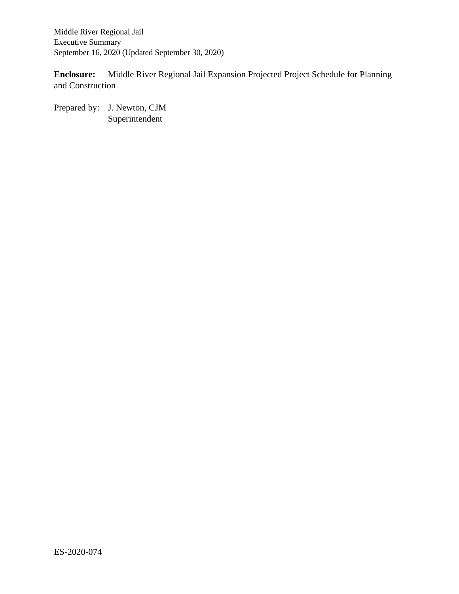Middle River Regional Jail Executive Summary September 16, 2020 (Updated September 30, 2020)

**Enclosure:** Middle River Regional Jail Expansion Projected Project Schedule for Planning and Construction

Prepared by: J. Newton, CJM Superintendent